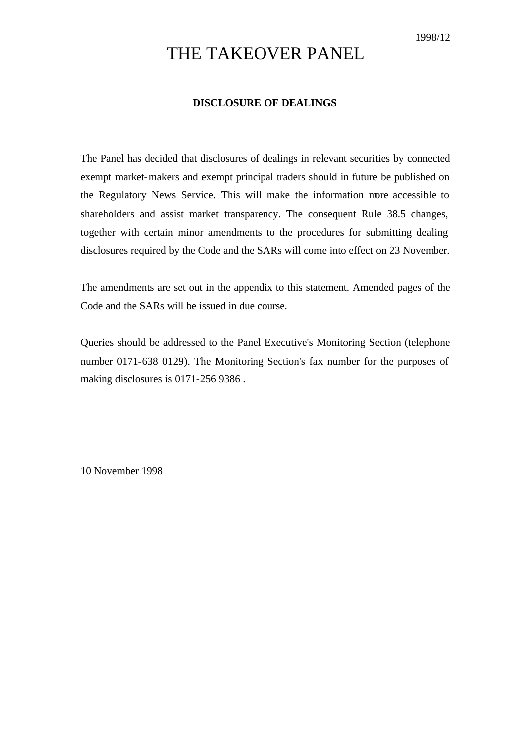# THE TAKEOVER PANEL

## **DISCLOSURE OF DEALINGS**

The Panel has decided that disclosures of dealings in relevant securities by connected exempt market-makers and exempt principal traders should in future be published on the Regulatory News Service. This will make the information more accessible to shareholders and assist market transparency. The consequent Rule 38.5 changes, together with certain minor amendments to the procedures for submitting dealing disclosures required by the Code and the SARs will come into effect on 23 November.

The amendments are set out in the appendix to this statement. Amended pages of the Code and the SARs will be issued in due course.

Queries should be addressed to the Panel Executive's Monitoring Section (telephone number 0171-638 0129). The Monitoring Section's fax number for the purposes of making disclosures is 0171-256 9386 .

10 November 1998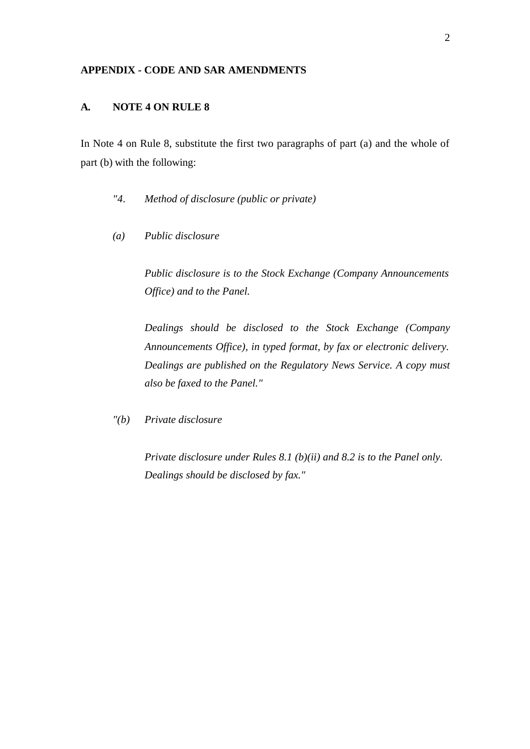### **APPENDIX - CODE AND SAR AMENDMENTS**

# **A. NOTE 4 ON RULE 8**

In Note 4 on Rule 8, substitute the first two paragraphs of part (a) and the whole of part (b) with the following:

- *"4. Method of disclosure (public or private)*
- *(a) Public disclosure*

*Public disclosure is to the Stock Exchange (Company Announcements Office) and to the Panel.*

*Dealings should be disclosed to the Stock Exchange (Company Announcements Office), in typed format, by fax or electronic delivery. Dealings are published on the Regulatory News Service. A copy must also be faxed to the Panel."*

*"(b) Private disclosure*

*Private disclosure under Rules 8.1 (b)(ii) and 8.2 is to the Panel only. Dealings should be disclosed by fax."*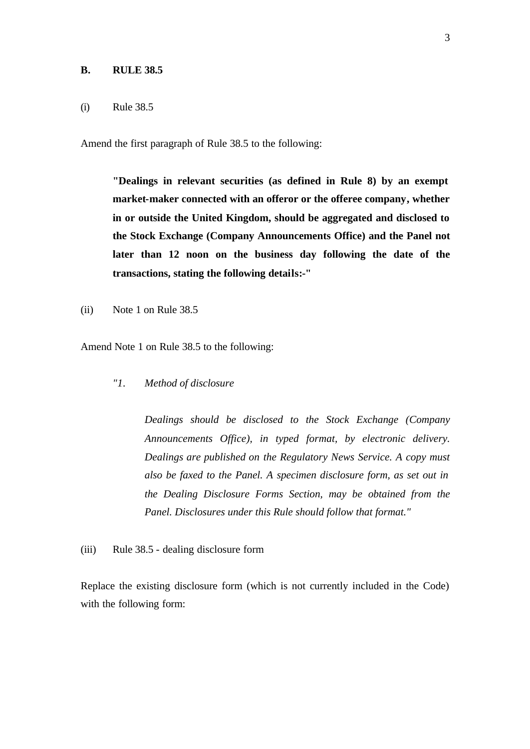#### **B. RULE 38.5**

### (i) Rule 38.5

Amend the first paragraph of Rule 38.5 to the following:

**"Dealings in relevant securities (as defined in Rule 8) by an exempt market-maker connected with an offeror or the offeree company, whether in or outside the United Kingdom, should be aggregated and disclosed to the Stock Exchange (Company Announcements Office) and the Panel not later than 12 noon on the business day following the date of the transactions, stating the following details:-"**

(ii) Note 1 on Rule 38.5

Amend Note 1 on Rule 38.5 to the following:

*"1. Method of disclosure*

*Dealings should be disclosed to the Stock Exchange (Company Announcements Office), in typed format, by electronic delivery. Dealings are published on the Regulatory News Service. A copy must also be faxed to the Panel. A specimen disclosure form, as set out in the Dealing Disclosure Forms Section, may be obtained from the Panel. Disclosures under this Rule should follow that format."*

(iii) Rule 38.5 - dealing disclosure form

Replace the existing disclosure form (which is not currently included in the Code) with the following form: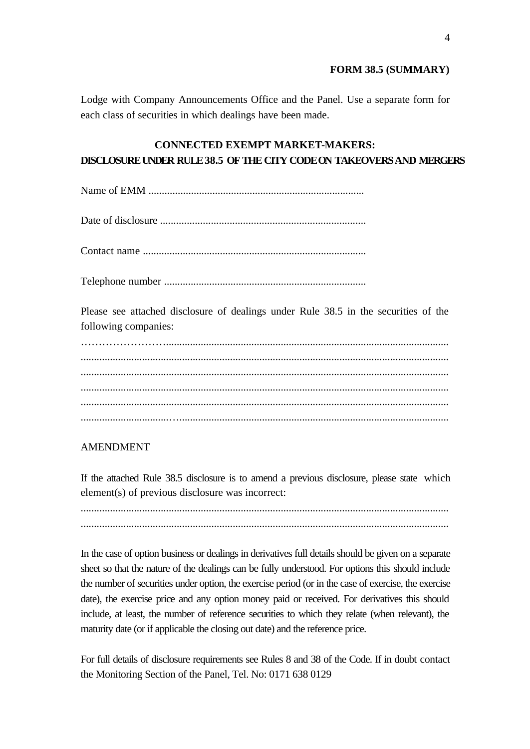## **FORM 38.5 (SUMMARY)**

Lodge with Company Announcements Office and the Panel. Use a separate form for each class of securities in which dealings have been made.

# **CONNECTED EXEMPT MARKET-MAKERS: DISCLOSUREUNDER RULE 38.5 OFTHE CITY CODEON TAKEOVERSAND MERGERS**

Name of EMM .................................................................................

Date of disclosure .............................................................................

Contact name ....................................................................................

Telephone number ............................................................................

Please see attached disclosure of dealings under Rule 38.5 in the securities of the following companies:

…………………….......................................................................................................... .......................................................................................................................................... .......................................................................................................................................... .......................................................................................................................................... .......................................................................................................................................... .................................….....................................................................................................

# AMENDMENT

If the attached Rule 38.5 disclosure is to amend a previous disclosure, please state which element(s) of previous disclosure was incorrect:

.......................................................................................................................................... ..........................................................................................................................................

In the case of option business or dealings in derivatives full details should be given on a separate sheet so that the nature of the dealings can be fully understood. For options this should include the number of securities under option, the exercise period (or in the case of exercise, the exercise date), the exercise price and any option money paid or received. For derivatives this should include, at least, the number of reference securities to which they relate (when relevant), the maturity date (or if applicable the closing out date) and the reference price.

For full details of disclosure requirements see Rules 8 and 38 of the Code. If in doubt contact the Monitoring Section of the Panel, Tel. No: 0171 638 0129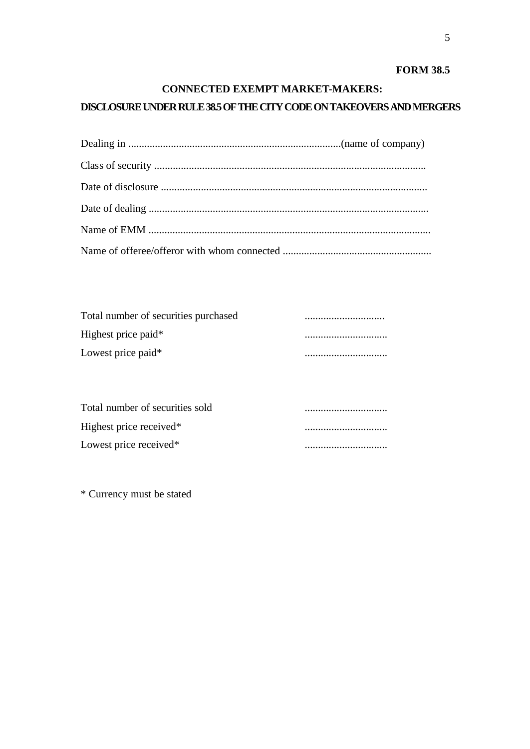# **FORM 38.5**

# **CONNECTED EXEMPT MARKET-MAKERS:**

# **DISCLOSURE UNDER RULE 38.5 OF THE CITY CODE ON TAKEOVERS AND MERGERS**

| Total number of securities purchased |  |
|--------------------------------------|--|
| Highest price paid*                  |  |
| Lowest price paid*                   |  |

| Total number of securities sold    |  |
|------------------------------------|--|
| Highest price received*            |  |
| Lowest price received <sup>*</sup> |  |

\* Currency must be stated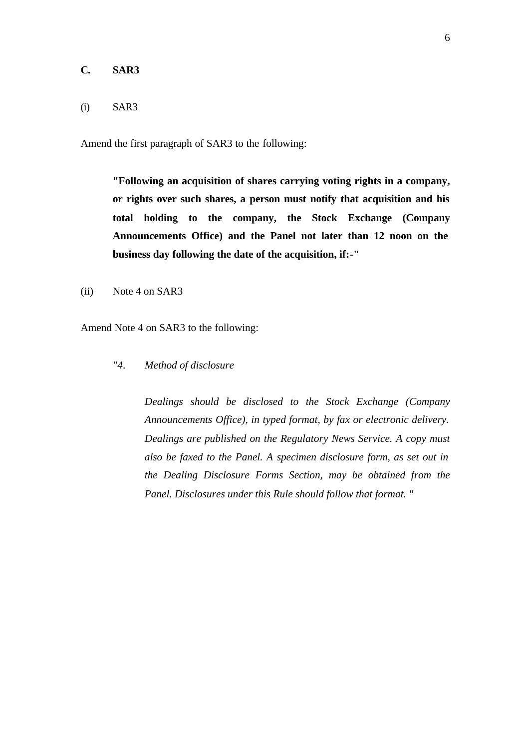## **C. SAR3**

## (i) SAR3

Amend the first paragraph of SAR3 to the following:

**"Following an acquisition of shares carrying voting rights in a company, or rights over such shares, a person must notify that acquisition and his total holding to the company, the Stock Exchange (Company Announcements Office) and the Panel not later than 12 noon on the business day following the date of the acquisition, if:-"**

(ii) Note 4 on SAR3

Amend Note 4 on SAR3 to the following:

*"4. Method of disclosure*

*Dealings should be disclosed to the Stock Exchange (Company Announcements Office), in typed format, by fax or electronic delivery. Dealings are published on the Regulatory News Service. A copy must also be faxed to the Panel. A specimen disclosure form, as set out in the Dealing Disclosure Forms Section, may be obtained from the Panel. Disclosures under this Rule should follow that format. "*